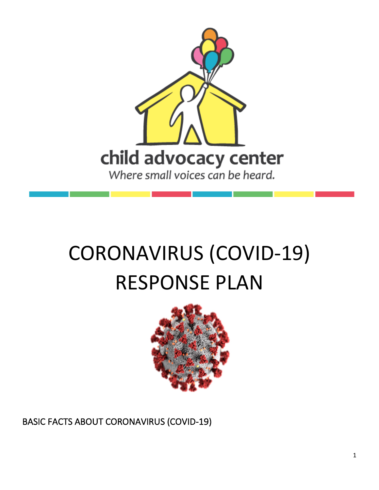

# CORONAVIRUS (COVID-19) RESPONSE PLAN



BASIC FACTS ABOUT CORONAVIRUS (COVID-19)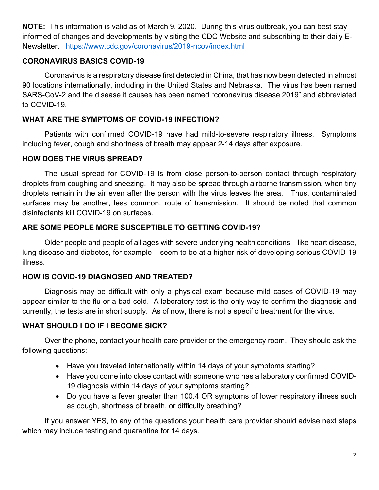**NOTE:** This information is valid as of March 9, 2020. During this virus outbreak, you can best stay informed of changes and developments by visiting the CDC Website and subscribing to their daily E-Newsletter. https://www.cdc.gov/coronavirus/2019-ncov/index.html

#### **CORONAVIRUS BASICS COVID-19**

Coronavirus is a respiratory disease first detected in China, that has now been detected in almost 90 locations internationally, including in the United States and Nebraska. The virus has been named SARS-CoV-2 and the disease it causes has been named "coronavirus disease 2019" and abbreviated to COVID-19.

### **WHAT ARE THE SYMPTOMS OF COVID-19 INFECTION?**

Patients with confirmed COVID-19 have had mild-to-severe respiratory illness. Symptoms including fever, cough and shortness of breath may appear 2-14 days after exposure.

#### **HOW DOES THE VIRUS SPREAD?**

The usual spread for COVID-19 is from close person-to-person contact through respiratory droplets from coughing and sneezing. It may also be spread through airborne transmission, when tiny droplets remain in the air even after the person with the virus leaves the area. Thus, contaminated surfaces may be another, less common, route of transmission. It should be noted that common disinfectants kill COVID-19 on surfaces.

#### **ARE SOME PEOPLE MORE SUSCEPTIBLE TO GETTING COVID-19?**

Older people and people of all ages with severe underlying health conditions – like heart disease, lung disease and diabetes, for example – seem to be at a higher risk of developing serious COVID-19 illness.

# **HOW IS COVID-19 DIAGNOSED AND TREATED?**

Diagnosis may be difficult with only a physical exam because mild cases of COVID-19 may appear similar to the flu or a bad cold. A laboratory test is the only way to confirm the diagnosis and currently, the tests are in short supply. As of now, there is not a specific treatment for the virus.

# **WHAT SHOULD I DO IF I BECOME SICK?**

Over the phone, contact your health care provider or the emergency room. They should ask the following questions:

- Have you traveled internationally within 14 days of your symptoms starting?
- Have you come into close contact with someone who has a laboratory confirmed COVID-19 diagnosis within 14 days of your symptoms starting?
- Do you have a fever greater than 100.4 OR symptoms of lower respiratory illness such as cough, shortness of breath, or difficulty breathing?

If you answer YES, to any of the questions your health care provider should advise next steps which may include testing and quarantine for 14 days.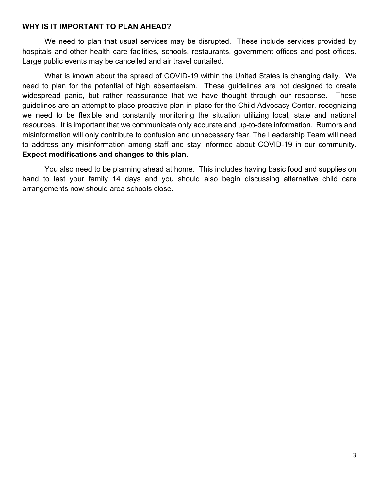#### **WHY IS IT IMPORTANT TO PLAN AHEAD?**

We need to plan that usual services may be disrupted. These include services provided by hospitals and other health care facilities, schools, restaurants, government offices and post offices. Large public events may be cancelled and air travel curtailed.

What is known about the spread of COVID-19 within the United States is changing daily. We need to plan for the potential of high absenteeism. These guidelines are not designed to create widespread panic, but rather reassurance that we have thought through our response. These guidelines are an attempt to place proactive plan in place for the Child Advocacy Center, recognizing we need to be flexible and constantly monitoring the situation utilizing local, state and national resources. It is important that we communicate only accurate and up-to-date information. Rumors and misinformation will only contribute to confusion and unnecessary fear. The Leadership Team will need to address any misinformation among staff and stay informed about COVID-19 in our community. **Expect modifications and changes to this plan**.

You also need to be planning ahead at home. This includes having basic food and supplies on hand to last your family 14 days and you should also begin discussing alternative child care arrangements now should area schools close.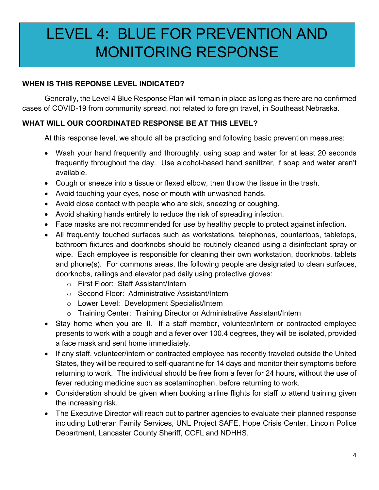# LEVEL 4: BLUE FOR PREVENTION AND MONITORING RESPONSE

# **WHEN IS THIS REPONSE LEVEL INDICATED?**

Generally, the Level 4 Blue Response Plan will remain in place as long as there are no confirmed cases of COVID-19 from community spread, not related to foreign travel, in Southeast Nebraska.

# **WHAT WILL OUR COORDINATED RESPONSE BE AT THIS LEVEL?**

At this response level, we should all be practicing and following basic prevention measures:

- Wash your hand frequently and thoroughly, using soap and water for at least 20 seconds frequently throughout the day. Use alcohol-based hand sanitizer, if soap and water aren't available.
- Cough or sneeze into a tissue or flexed elbow, then throw the tissue in the trash.
- Avoid touching your eyes, nose or mouth with unwashed hands.
- Avoid close contact with people who are sick, sneezing or coughing.
- Avoid shaking hands entirely to reduce the risk of spreading infection.
- Face masks are not recommended for use by healthy people to protect against infection.
- All frequently touched surfaces such as workstations, telephones, countertops, tabletops, bathroom fixtures and doorknobs should be routinely cleaned using a disinfectant spray or wipe. Each employee is responsible for cleaning their own workstation, doorknobs, tablets and phone(s). For commons areas, the following people are designated to clean surfaces, doorknobs, railings and elevator pad daily using protective gloves:
	- o First Floor: Staff Assistant/Intern
	- o Second Floor: Administrative Assistant/Intern
	- o Lower Level: Development Specialist/Intern
	- o Training Center: Training Director or Administrative Assistant/Intern
- Stay home when you are ill. If a staff member, volunteer/intern or contracted employee presents to work with a cough and a fever over 100.4 degrees, they will be isolated, provided a face mask and sent home immediately.
- If any staff, volunteer/intern or contracted employee has recently traveled outside the United States, they will be required to self-quarantine for 14 days and monitor their symptoms before returning to work. The individual should be free from a fever for 24 hours, without the use of fever reducing medicine such as acetaminophen, before returning to work.
- Consideration should be given when booking airline flights for staff to attend training given the increasing risk.
- The Executive Director will reach out to partner agencies to evaluate their planned response including Lutheran Family Services, UNL Project SAFE, Hope Crisis Center, Lincoln Police Department, Lancaster County Sheriff, CCFL and NDHHS.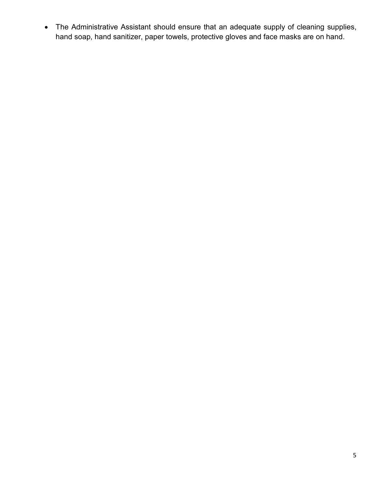• The Administrative Assistant should ensure that an adequate supply of cleaning supplies, hand soap, hand sanitizer, paper towels, protective gloves and face masks are on hand.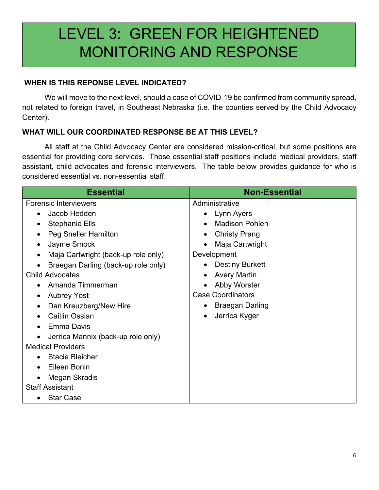# LEVEL 3: GREEN FOR HEIGHTENED MONITORING AND RESPONSE

### **WHEN IS THIS REPONSE LEVEL INDICATED?**

We will move to the next level, should a case of COVID-19 be confirmed from community spread, not related to foreign travel, in Southeast Nebraska (i.e. the counties served by the Child Advocacy Center).

# **WHAT WILL OUR COORDINATED RESPONSE BE AT THIS LEVEL?**

All staff at the Child Advocacy Center are considered mission-critical, but some positions are essential for providing core services. Those essential staff positions include medical providers, staff assistant, child advocates and forensic interviewers. The table below provides guidance for who is considered essential vs. non-essential staff.

| <b>Essential</b>                                 | <b>Non-Essential</b>     |
|--------------------------------------------------|--------------------------|
| <b>Forensic Interviewers</b>                     | Administrative           |
| Jacob Hedden<br>$\bullet$                        | Lynn Ayers<br>$\bullet$  |
| <b>Stephanie Ells</b>                            | <b>Madison Pohlen</b>    |
| Peg Sneller Hamilton<br>٠                        | <b>Christy Prang</b>     |
| Jayme Smock<br>٠                                 | Maja Cartwright          |
| Maja Cartwright (back-up role only)<br>$\bullet$ | Development              |
| Braegan Darling (back-up role only)              | <b>Destiny Burkett</b>   |
| <b>Child Advocates</b>                           | <b>Avery Martin</b>      |
| Amanda Timmerman                                 | Abby Worster             |
| <b>Aubrey Yost</b>                               | <b>Case Coordinators</b> |
| Dan Kreuzberg/New Hire<br>$\bullet$              | <b>Braegan Darling</b>   |
| <b>Caitlin Ossian</b>                            | Jerrica Kyger            |
| Emma Davis                                       |                          |
| Jerrica Mannix (back-up role only)               |                          |
| <b>Medical Providers</b>                         |                          |
| <b>Stacie Bleicher</b>                           |                          |
| Eileen Bonin                                     |                          |
| Megan Skradis                                    |                          |
| <b>Staff Assistant</b>                           |                          |
| <b>Star Case</b>                                 |                          |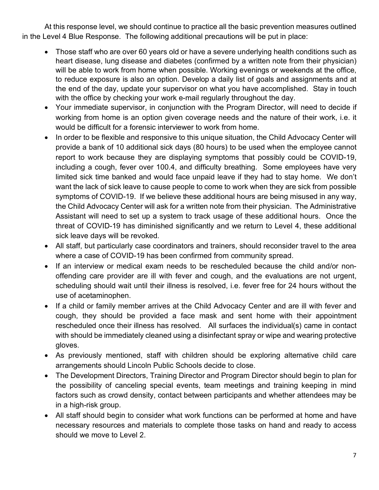At this response level, we should continue to practice all the basic prevention measures outlined in the Level 4 Blue Response. The following additional precautions will be put in place:

- Those staff who are over 60 years old or have a severe underlying health conditions such as heart disease, lung disease and diabetes (confirmed by a written note from their physician) will be able to work from home when possible. Working evenings or weekends at the office, to reduce exposure is also an option. Develop a daily list of goals and assignments and at the end of the day, update your supervisor on what you have accomplished. Stay in touch with the office by checking your work e-mail regularly throughout the day.
- Your immediate supervisor, in conjunction with the Program Director, will need to decide if working from home is an option given coverage needs and the nature of their work, i.e. it would be difficult for a forensic interviewer to work from home.
- In order to be flexible and responsive to this unique situation, the Child Advocacy Center will provide a bank of 10 additional sick days (80 hours) to be used when the employee cannot report to work because they are displaying symptoms that possibly could be COVID-19, including a cough, fever over 100.4, and difficulty breathing. Some employees have very limited sick time banked and would face unpaid leave if they had to stay home. We don't want the lack of sick leave to cause people to come to work when they are sick from possible symptoms of COVID-19. If we believe these additional hours are being misused in any way, the Child Advocacy Center will ask for a written note from their physician. The Administrative Assistant will need to set up a system to track usage of these additional hours. Once the threat of COVID-19 has diminished significantly and we return to Level 4, these additional sick leave days will be revoked.
- All staff, but particularly case coordinators and trainers, should reconsider travel to the area where a case of COVID-19 has been confirmed from community spread.
- If an interview or medical exam needs to be rescheduled because the child and/or nonoffending care provider are ill with fever and cough, and the evaluations are not urgent, scheduling should wait until their illness is resolved, i.e. fever free for 24 hours without the use of acetaminophen.
- If a child or family member arrives at the Child Advocacy Center and are ill with fever and cough, they should be provided a face mask and sent home with their appointment rescheduled once their illness has resolved. All surfaces the individual(s) came in contact with should be immediately cleaned using a disinfectant spray or wipe and wearing protective gloves.
- As previously mentioned, staff with children should be exploring alternative child care arrangements should Lincoln Public Schools decide to close.
- The Development Directors, Training Director and Program Director should begin to plan for the possibility of canceling special events, team meetings and training keeping in mind factors such as crowd density, contact between participants and whether attendees may be in a high-risk group.
- All staff should begin to consider what work functions can be performed at home and have necessary resources and materials to complete those tasks on hand and ready to access should we move to Level 2.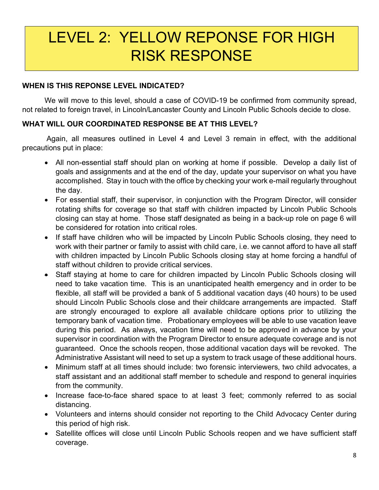# LEVEL 2: YELLOW REPONSE FOR HIGH RISK RESPONSE

#### **WHEN IS THIS REPONSE LEVEL INDICATED?**

We will move to this level, should a case of COVID-19 be confirmed from community spread, not related to foreign travel, in Lincoln/Lancaster County and Lincoln Public Schools decide to close.

# **WHAT WILL OUR COORDINATED RESPONSE BE AT THIS LEVEL?**

Again, all measures outlined in Level 4 and Level 3 remain in effect, with the additional precautions put in place:

- All non-essential staff should plan on working at home if possible. Develop a daily list of goals and assignments and at the end of the day, update your supervisor on what you have accomplished. Stay in touch with the office by checking your work e-mail regularly throughout the day.
- For essential staff, their supervisor, in conjunction with the Program Director, will consider rotating shifts for coverage so that staff with children impacted by Lincoln Public Schools closing can stay at home. Those staff designated as being in a back-up role on page 6 will be considered for rotation into critical roles.
- If staff have children who will be impacted by Lincoln Public Schools closing, they need to work with their partner or family to assist with child care, i.e. we cannot afford to have all staff with children impacted by Lincoln Public Schools closing stay at home forcing a handful of staff without children to provide critical services.
- Staff staying at home to care for children impacted by Lincoln Public Schools closing will need to take vacation time. This is an unanticipated health emergency and in order to be flexible, all staff will be provided a bank of 5 additional vacation days (40 hours) to be used should Lincoln Public Schools close and their childcare arrangements are impacted. Staff are strongly encouraged to explore all available childcare options prior to utilizing the temporary bank of vacation time. Probationary employees will be able to use vacation leave during this period. As always, vacation time will need to be approved in advance by your supervisor in coordination with the Program Director to ensure adequate coverage and is not guaranteed. Once the schools reopen, those additional vacation days will be revoked. The Administrative Assistant will need to set up a system to track usage of these additional hours.
- Minimum staff at all times should include: two forensic interviewers, two child advocates, a staff assistant and an additional staff member to schedule and respond to general inquiries from the community.
- Increase face-to-face shared space to at least 3 feet; commonly referred to as social distancing.
- Volunteers and interns should consider not reporting to the Child Advocacy Center during this period of high risk.
- Satellite offices will close until Lincoln Public Schools reopen and we have sufficient staff coverage.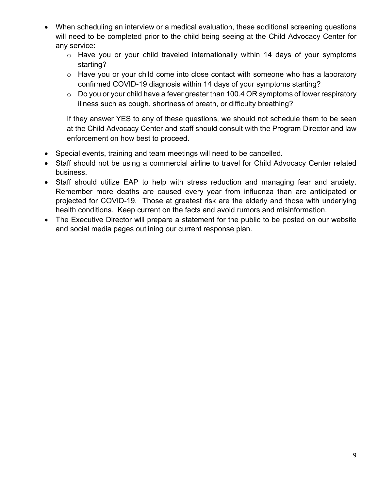- When scheduling an interview or a medical evaluation, these additional screening questions will need to be completed prior to the child being seeing at the Child Advocacy Center for any service:
	- o Have you or your child traveled internationally within 14 days of your symptoms starting?
	- o Have you or your child come into close contact with someone who has a laboratory confirmed COVID-19 diagnosis within 14 days of your symptoms starting?
	- $\circ$  Do you or your child have a fever greater than 100.4 OR symptoms of lower respiratory illness such as cough, shortness of breath, or difficulty breathing?

If they answer YES to any of these questions, we should not schedule them to be seen at the Child Advocacy Center and staff should consult with the Program Director and law enforcement on how best to proceed.

- Special events, training and team meetings will need to be cancelled.
- Staff should not be using a commercial airline to travel for Child Advocacy Center related business.
- Staff should utilize EAP to help with stress reduction and managing fear and anxiety. Remember more deaths are caused every year from influenza than are anticipated or projected for COVID-19. Those at greatest risk are the elderly and those with underlying health conditions. Keep current on the facts and avoid rumors and misinformation.
- The Executive Director will prepare a statement for the public to be posted on our website and social media pages outlining our current response plan.